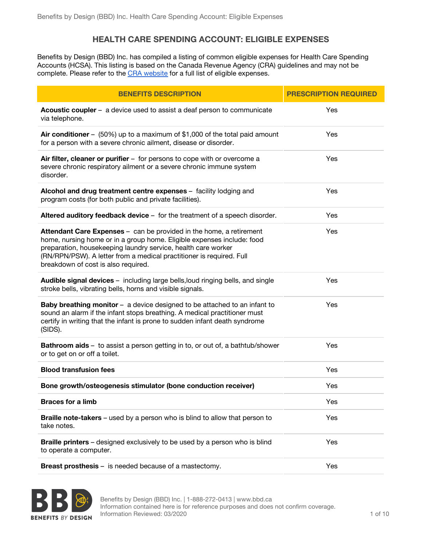## **HEALTH CARE SPENDING ACCOUNT: ELIGIBLE EXPENSES**

Benefits by Design (BBD) Inc. has compiled a listing of common eligible expenses for Health Care Spending Accounts (HCSA). This listing is based on the Canada Revenue Agency (CRA) guidelines and may not be complete. Please refer to the CRA [website](https://www.canada.ca/en/revenue-agency/services/tax/individuals/topics/about-your-tax-return/tax-return/completing-a-tax-return/deductions-credits-expenses/lines-33099-33199-eligible-medical-expenses-you-claim-on-your-tax-return.html) for a full list of eligible expenses.

| <b>BENEFITS DESCRIPTION</b>                                                                                                                                                                                                                                                                                                   | <b>PRESCRIPTION REQUIRED</b> |
|-------------------------------------------------------------------------------------------------------------------------------------------------------------------------------------------------------------------------------------------------------------------------------------------------------------------------------|------------------------------|
| Acoustic coupler - a device used to assist a deaf person to communicate<br>via telephone.                                                                                                                                                                                                                                     | Yes                          |
| Air conditioner – $(50%)$ up to a maximum of \$1,000 of the total paid amount<br>for a person with a severe chronic ailment, disease or disorder.                                                                                                                                                                             | Yes                          |
| Air filter, cleaner or purifier - for persons to cope with or overcome a<br>severe chronic respiratory ailment or a severe chronic immune system<br>disorder.                                                                                                                                                                 | Yes                          |
| Alcohol and drug treatment centre expenses - facility lodging and<br>program costs (for both public and private facilities).                                                                                                                                                                                                  | Yes                          |
| Altered auditory feedback device - for the treatment of a speech disorder.                                                                                                                                                                                                                                                    | Yes                          |
| Attendant Care Expenses - can be provided in the home, a retirement<br>home, nursing home or in a group home. Eligible expenses include: food<br>preparation, housekeeping laundry service, health care worker<br>(RN/RPN/PSW). A letter from a medical practitioner is required. Full<br>breakdown of cost is also required. | Yes                          |
| Audible signal devices - including large bells, loud ringing bells, and single<br>stroke bells, vibrating bells, horns and visible signals.                                                                                                                                                                                   | Yes                          |
| Baby breathing monitor - a device designed to be attached to an infant to<br>sound an alarm if the infant stops breathing. A medical practitioner must<br>certify in writing that the infant is prone to sudden infant death syndrome<br>(SIDS).                                                                              | Yes                          |
| <b>Bathroom aids</b> - to assist a person getting in to, or out of, a bathtub/shower<br>or to get on or off a toilet.                                                                                                                                                                                                         | Yes                          |
| <b>Blood transfusion fees</b>                                                                                                                                                                                                                                                                                                 | Yes                          |
| Bone growth/osteogenesis stimulator (bone conduction receiver)                                                                                                                                                                                                                                                                | Yes                          |
| <b>Braces for a limb</b>                                                                                                                                                                                                                                                                                                      | Yes                          |
| Braille note-takers - used by a person who is blind to allow that person to<br>take notes.                                                                                                                                                                                                                                    | Yes                          |
| <b>Braille printers</b> - designed exclusively to be used by a person who is blind<br>to operate a computer.                                                                                                                                                                                                                  | Yes                          |
| <b>Breast prosthesis</b> – is needed because of a mastectomy.                                                                                                                                                                                                                                                                 | Yes                          |



Benefits by Design (BBD) Inc. | 1-888-272-0413 | www.bbd.ca Information contained here is for reference purposes and does not confirm coverage. Information Reviewed: 03/2020 1 of 10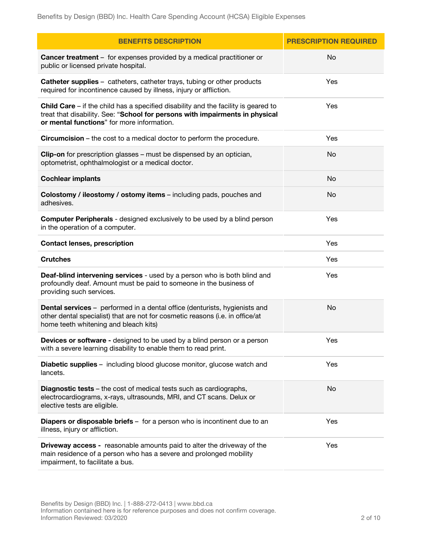| <b>BENEFITS DESCRIPTION</b>                                                                                                                                                                                               | <b>PRESCRIPTION REQUIRED</b> |
|---------------------------------------------------------------------------------------------------------------------------------------------------------------------------------------------------------------------------|------------------------------|
| Cancer treatment - for expenses provided by a medical practitioner or<br>public or licensed private hospital.                                                                                                             | No                           |
| <b>Catheter supplies</b> - catheters, catheter trays, tubing or other products<br>required for incontinence caused by illness, injury or affliction.                                                                      | Yes                          |
| <b>Child Care</b> $-$ if the child has a specified disability and the facility is geared to<br>treat that disability. See: "School for persons with impairments in physical<br>or mental functions" for more information. | Yes                          |
| <b>Circumcision</b> – the cost to a medical doctor to perform the procedure.                                                                                                                                              | Yes                          |
| Clip-on for prescription glasses - must be dispensed by an optician,<br>optometrist, ophthalmologist or a medical doctor.                                                                                                 | No                           |
| <b>Cochlear implants</b>                                                                                                                                                                                                  | No                           |
| Colostomy / ileostomy / ostomy items - including pads, pouches and<br>adhesives.                                                                                                                                          | No                           |
| <b>Computer Peripherals</b> - designed exclusively to be used by a blind person<br>in the operation of a computer.                                                                                                        | Yes                          |
| <b>Contact lenses, prescription</b>                                                                                                                                                                                       | Yes                          |
| <b>Crutches</b>                                                                                                                                                                                                           | Yes                          |
| Deaf-blind intervening services - used by a person who is both blind and<br>profoundly deaf. Amount must be paid to someone in the business of<br>providing such services.                                                | Yes                          |
| <b>Dental services</b> - performed in a dental office (denturists, hygienists and<br>other dental specialist) that are not for cosmetic reasons (i.e. in office/at<br>home teeth whitening and bleach kits)               | No                           |
| <b>Devices or software -</b> designed to be used by a blind person or a person<br>with a severe learning disability to enable them to read print.                                                                         | Yes                          |
| <b>Diabetic supplies</b> - including blood glucose monitor, glucose watch and<br>lancets.                                                                                                                                 | Yes                          |
| <b>Diagnostic tests</b> – the cost of medical tests such as cardiographs,<br>electrocardiograms, x-rays, ultrasounds, MRI, and CT scans. Delux or<br>elective tests are eligible.                                         | No                           |
| Diapers or disposable briefs - for a person who is incontinent due to an<br>illness, injury or affliction.                                                                                                                | Yes                          |
| <b>Driveway access -</b> reasonable amounts paid to alter the driveway of the<br>main residence of a person who has a severe and prolonged mobility<br>impairment, to facilitate a bus.                                   | Yes                          |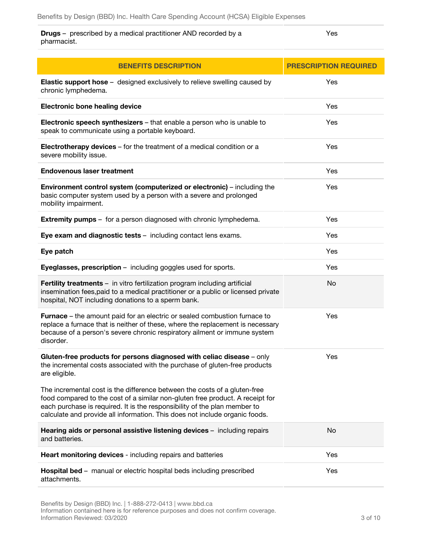**Drugs** – prescribed by a medical practitioner AND recorded by a pharmacist. Yes

| <b>BENEFITS DESCRIPTION</b>                                                                                                                                                                                                                                                                                            | <b>PRESCRIPTION REQUIRED</b> |
|------------------------------------------------------------------------------------------------------------------------------------------------------------------------------------------------------------------------------------------------------------------------------------------------------------------------|------------------------------|
| <b>Elastic support hose</b> - designed exclusively to relieve swelling caused by<br>chronic lymphedema.                                                                                                                                                                                                                | Yes                          |
| <b>Electronic bone healing device</b>                                                                                                                                                                                                                                                                                  | Yes                          |
| Electronic speech synthesizers - that enable a person who is unable to<br>speak to communicate using a portable keyboard.                                                                                                                                                                                              | Yes                          |
| Electrotherapy devices - for the treatment of a medical condition or a<br>severe mobility issue.                                                                                                                                                                                                                       | Yes                          |
| <b>Endovenous laser treatment</b>                                                                                                                                                                                                                                                                                      | Yes                          |
| <b>Environment control system (computerized or electronic)</b> – including the<br>basic computer system used by a person with a severe and prolonged<br>mobility impairment.                                                                                                                                           | Yes                          |
| <b>Extremity pumps</b> – for a person diagnosed with chronic lymphedema.                                                                                                                                                                                                                                               | Yes                          |
| Eye exam and diagnostic tests - including contact lens exams.                                                                                                                                                                                                                                                          | Yes                          |
| Eye patch                                                                                                                                                                                                                                                                                                              | Yes                          |
| Eyeglasses, prescription - including goggles used for sports.                                                                                                                                                                                                                                                          | Yes                          |
| Fertility treatments - in vitro fertilization program including artificial<br>insemination fees, paid to a medical practitioner or a public or licensed private<br>hospital, NOT including donations to a sperm bank.                                                                                                  | No                           |
| <b>Furnace</b> – the amount paid for an electric or sealed combustion furnace to<br>replace a furnace that is neither of these, where the replacement is necessary<br>because of a person's severe chronic respiratory ailment or immune system<br>disorder.                                                           | Yes                          |
| Gluten-free products for persons diagnosed with celiac disease - only<br>the incremental costs associated with the purchase of gluten-free products<br>are eligible.                                                                                                                                                   | Yes                          |
| The incremental cost is the difference between the costs of a gluten-free<br>food compared to the cost of a similar non-gluten free product. A receipt for<br>each purchase is required. It is the responsibility of the plan member to<br>calculate and provide all information. This does not include organic foods. |                              |
| Hearing aids or personal assistive listening devices - including repairs<br>and batteries.                                                                                                                                                                                                                             | No                           |
| Heart monitoring devices - including repairs and batteries                                                                                                                                                                                                                                                             | Yes                          |
| Hospital bed - manual or electric hospital beds including prescribed<br>attachments.                                                                                                                                                                                                                                   | Yes                          |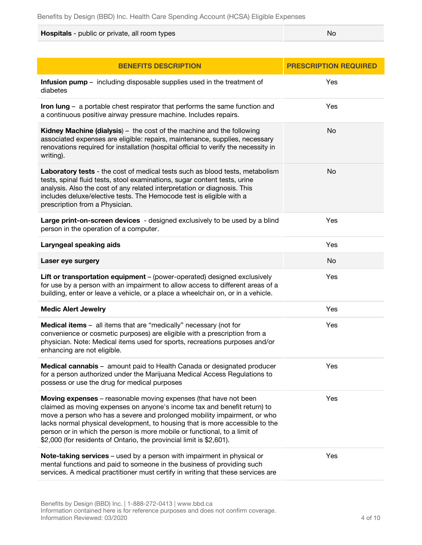**Hospitals** - public or private, all room types No and the state of the No and No and No and No and No and No and No

| <b>BENEFITS DESCRIPTION</b>                                                                                                                                                                                                                                                                                                                                                                                                                                   | <b>PRESCRIPTION REQUIRED</b> |
|---------------------------------------------------------------------------------------------------------------------------------------------------------------------------------------------------------------------------------------------------------------------------------------------------------------------------------------------------------------------------------------------------------------------------------------------------------------|------------------------------|
| <b>Infusion pump</b> – including disposable supplies used in the treatment of<br>diabetes                                                                                                                                                                                                                                                                                                                                                                     | Yes                          |
| Iron $\text{lung}$ - a portable chest respirator that performs the same function and<br>a continuous positive airway pressure machine. Includes repairs.                                                                                                                                                                                                                                                                                                      | Yes                          |
| Kidney Machine (dialysis) - the cost of the machine and the following<br>associated expenses are eligible: repairs, maintenance, supplies, necessary<br>renovations required for installation (hospital official to verify the necessity in<br>writing).                                                                                                                                                                                                      | No                           |
| Laboratory tests - the cost of medical tests such as blood tests, metabolism<br>tests, spinal fluid tests, stool examinations, sugar content tests, urine<br>analysis. Also the cost of any related interpretation or diagnosis. This<br>includes deluxe/elective tests. The Hemocode test is eligible with a<br>prescription from a Physician.                                                                                                               | No                           |
| Large print-on-screen devices - designed exclusively to be used by a blind<br>person in the operation of a computer.                                                                                                                                                                                                                                                                                                                                          | Yes                          |
| Laryngeal speaking aids                                                                                                                                                                                                                                                                                                                                                                                                                                       | Yes                          |
| Laser eye surgery                                                                                                                                                                                                                                                                                                                                                                                                                                             | No                           |
| Lift or transportation equipment - (power-operated) designed exclusively<br>for use by a person with an impairment to allow access to different areas of a<br>building, enter or leave a vehicle, or a place a wheelchair on, or in a vehicle.                                                                                                                                                                                                                | Yes                          |
| <b>Medic Alert Jewelry</b>                                                                                                                                                                                                                                                                                                                                                                                                                                    | Yes                          |
| <b>Medical items</b> - all items that are "medically" necessary (not for<br>convenience or cosmetic purposes) are eligible with a prescription from a<br>physician. Note: Medical items used for sports, recreations purposes and/or<br>enhancing are not eligible.                                                                                                                                                                                           | Yes                          |
| <b>Medical cannabis</b> – amount paid to Health Canada or designated producer<br>for a person authorized under the Marijuana Medical Access Regulations to<br>possess or use the drug for medical purposes                                                                                                                                                                                                                                                    | Yes                          |
| Moving expenses - reasonable moving expenses (that have not been<br>claimed as moving expenses on anyone's income tax and benefit return) to<br>move a person who has a severe and prolonged mobility impairment, or who<br>lacks normal physical development, to housing that is more accessible to the<br>person or in which the person is more mobile or functional, to a limit of<br>\$2,000 (for residents of Ontario, the provincial limit is \$2,601). | Yes                          |
| Note-taking services - used by a person with impairment in physical or<br>mental functions and paid to someone in the business of providing such<br>services. A medical practitioner must certify in writing that these services are                                                                                                                                                                                                                          | Yes                          |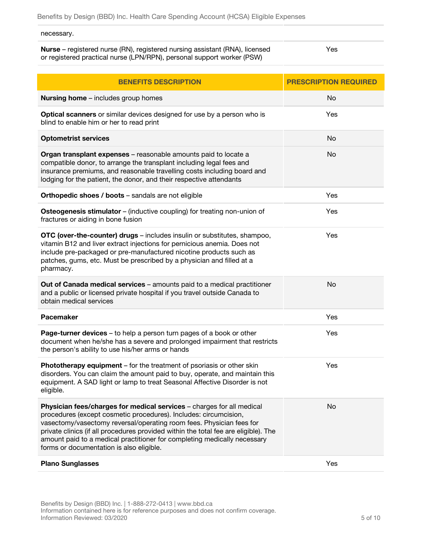## necessary.

**Nurse** – registered nurse (RN), registered nursing assistant (RNA), licensed or registered practical nurse (LPN/RPN), personal support worker (PSW) Yes

| <b>BENEFITS DESCRIPTION</b>                                                                                                                                                                                                                                                                                                                                                                                                      | <b>PRESCRIPTION REQUIRED</b> |
|----------------------------------------------------------------------------------------------------------------------------------------------------------------------------------------------------------------------------------------------------------------------------------------------------------------------------------------------------------------------------------------------------------------------------------|------------------------------|
| <b>Nursing home</b> - includes group homes                                                                                                                                                                                                                                                                                                                                                                                       | No                           |
| Optical scanners or similar devices designed for use by a person who is<br>blind to enable him or her to read print                                                                                                                                                                                                                                                                                                              | Yes                          |
| <b>Optometrist services</b>                                                                                                                                                                                                                                                                                                                                                                                                      | No                           |
| Organ transplant expenses - reasonable amounts paid to locate a<br>compatible donor, to arrange the transplant including legal fees and<br>insurance premiums, and reasonable travelling costs including board and<br>lodging for the patient, the donor, and their respective attendants                                                                                                                                        | No                           |
| Orthopedic shoes / boots - sandals are not eligible                                                                                                                                                                                                                                                                                                                                                                              | Yes                          |
| <b>Osteogenesis stimulator</b> – (inductive coupling) for treating non-union of<br>fractures or aiding in bone fusion                                                                                                                                                                                                                                                                                                            | Yes                          |
| OTC (over-the-counter) drugs - includes insulin or substitutes, shampoo,<br>vitamin B12 and liver extract injections for pernicious anemia. Does not<br>include pre-packaged or pre-manufactured nicotine products such as<br>patches, gums, etc. Must be prescribed by a physician and filled at a<br>pharmacy.                                                                                                                 | Yes                          |
| Out of Canada medical services - amounts paid to a medical practitioner<br>and a public or licensed private hospital if you travel outside Canada to<br>obtain medical services                                                                                                                                                                                                                                                  | No                           |
| Pacemaker                                                                                                                                                                                                                                                                                                                                                                                                                        | Yes                          |
| Page-turner devices - to help a person turn pages of a book or other<br>document when he/she has a severe and prolonged impairment that restricts<br>the person's ability to use his/her arms or hands                                                                                                                                                                                                                           | Yes                          |
| Phototherapy equipment - for the treatment of psoriasis or other skin<br>disorders. You can claim the amount paid to buy, operate, and maintain this<br>equipment. A SAD light or lamp to treat Seasonal Affective Disorder is not<br>eligible.                                                                                                                                                                                  | Yes                          |
| Physician fees/charges for medical services - charges for all medical<br>procedures (except cosmetic procedures). Includes: circumcision,<br>vasectomy/vasectomy reversal/operating room fees. Physician fees for<br>private clinics (if all procedures provided within the total fee are eligible). The<br>amount paid to a medical practitioner for completing medically necessary<br>forms or documentation is also eligible. | No                           |
| <b>Plano Sunglasses</b>                                                                                                                                                                                                                                                                                                                                                                                                          | Yes                          |

Benefits by Design (BBD) Inc. | 1-888-272-0413 | www.bbd.ca Information contained here is for reference purposes and does not confirm coverage. Information Reviewed: 03/2020 5 of 10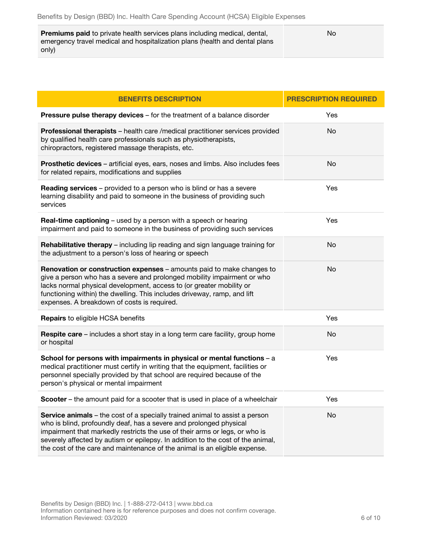| <b>Premiums paid</b> to private health services plans including medical, dental, | No |
|----------------------------------------------------------------------------------|----|
| emergency travel medical and hospitalization plans (health and dental plans      |    |
| only)                                                                            |    |

| <b>BENEFITS DESCRIPTION</b>                                                                                                                                                                                                                                                                                                                                                                       | <b>PRESCRIPTION REQUIRED</b> |
|---------------------------------------------------------------------------------------------------------------------------------------------------------------------------------------------------------------------------------------------------------------------------------------------------------------------------------------------------------------------------------------------------|------------------------------|
| Pressure pulse therapy devices - for the treatment of a balance disorder                                                                                                                                                                                                                                                                                                                          | Yes                          |
| Professional therapists - health care / medical practitioner services provided<br>by qualified health care professionals such as physiotherapists,<br>chiropractors, registered massage therapists, etc.                                                                                                                                                                                          | No                           |
| Prosthetic devices - artificial eyes, ears, noses and limbs. Also includes fees<br>for related repairs, modifications and supplies                                                                                                                                                                                                                                                                | No                           |
| Reading services - provided to a person who is blind or has a severe<br>learning disability and paid to someone in the business of providing such<br>services                                                                                                                                                                                                                                     | Yes                          |
| Real-time captioning - used by a person with a speech or hearing<br>impairment and paid to someone in the business of providing such services                                                                                                                                                                                                                                                     | Yes                          |
| Rehabilitative therapy - including lip reading and sign language training for<br>the adjustment to a person's loss of hearing or speech                                                                                                                                                                                                                                                           | No                           |
| Renovation or construction expenses - amounts paid to make changes to<br>give a person who has a severe and prolonged mobility impairment or who<br>lacks normal physical development, access to (or greater mobility or<br>functioning within) the dwelling. This includes driveway, ramp, and lift<br>expenses. A breakdown of costs is required.                                               | No                           |
| Repairs to eligible HCSA benefits                                                                                                                                                                                                                                                                                                                                                                 | Yes                          |
| <b>Respite care</b> – includes a short stay in a long term care facility, group home<br>or hospital                                                                                                                                                                                                                                                                                               | No                           |
| School for persons with impairments in physical or mental functions $- a$<br>medical practitioner must certify in writing that the equipment, facilities or<br>personnel specially provided by that school are required because of the<br>person's physical or mental impairment                                                                                                                  | Yes                          |
| Scooter - the amount paid for a scooter that is used in place of a wheelchair                                                                                                                                                                                                                                                                                                                     | Yes                          |
| Service animals - the cost of a specially trained animal to assist a person<br>who is blind, profoundly deaf, has a severe and prolonged physical<br>impairment that markedly restricts the use of their arms or legs, or who is<br>severely affected by autism or epilepsy. In addition to the cost of the animal,<br>the cost of the care and maintenance of the animal is an eligible expense. | No                           |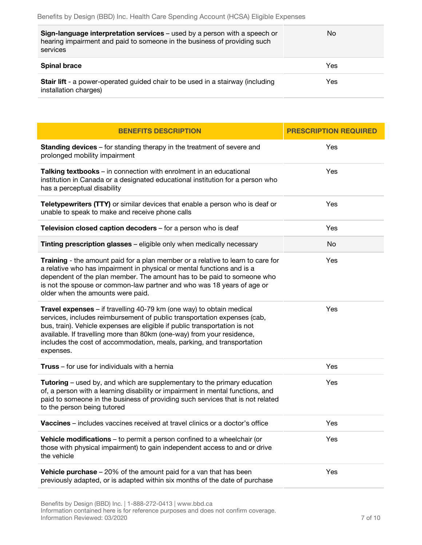| Sign-language interpretation services - used by a person with a speech or<br>hearing impairment and paid to someone in the business of providing such<br>services | No  |
|-------------------------------------------------------------------------------------------------------------------------------------------------------------------|-----|
| <b>Spinal brace</b>                                                                                                                                               | Yes |
| <b>Stair lift</b> - a power-operated guided chair to be used in a stairway (including<br>installation charges)                                                    | Yes |

| <b>BENEFITS DESCRIPTION</b>                                                                                                                                                                                                                                                                                                                                                                     | <b>PRESCRIPTION REQUIRED</b> |
|-------------------------------------------------------------------------------------------------------------------------------------------------------------------------------------------------------------------------------------------------------------------------------------------------------------------------------------------------------------------------------------------------|------------------------------|
| <b>Standing devices</b> – for standing therapy in the treatment of severe and<br>prolonged mobility impairment                                                                                                                                                                                                                                                                                  | Yes                          |
| Talking textbooks - in connection with enrolment in an educational<br>institution in Canada or a designated educational institution for a person who<br>has a perceptual disability                                                                                                                                                                                                             | Yes                          |
| Teletypewriters (TTY) or similar devices that enable a person who is deaf or<br>unable to speak to make and receive phone calls                                                                                                                                                                                                                                                                 | Yes                          |
| Television closed caption decoders - for a person who is deaf                                                                                                                                                                                                                                                                                                                                   | Yes                          |
| Tinting prescription glasses - eligible only when medically necessary                                                                                                                                                                                                                                                                                                                           | No                           |
| Training - the amount paid for a plan member or a relative to learn to care for<br>a relative who has impairment in physical or mental functions and is a<br>dependent of the plan member. The amount has to be paid to someone who<br>is not the spouse or common-law partner and who was 18 years of age or<br>older when the amounts were paid.                                              | Yes                          |
| Travel expenses - if travelling 40-79 km (one way) to obtain medical<br>services, includes reimbursement of public transportation expenses (cab,<br>bus, train). Vehicle expenses are eligible if public transportation is not<br>available. If travelling more than 80km (one-way) from your residence,<br>includes the cost of accommodation, meals, parking, and transportation<br>expenses. | Yes                          |
| <b>Truss</b> – for use for individuals with a hernia                                                                                                                                                                                                                                                                                                                                            | Yes                          |
| Tutoring - used by, and which are supplementary to the primary education<br>of, a person with a learning disability or impairment in mental functions, and<br>paid to someone in the business of providing such services that is not related<br>to the person being tutored                                                                                                                     | Yes                          |
| <b>Vaccines</b> – includes vaccines received at travel clinics or a doctor's office                                                                                                                                                                                                                                                                                                             | Yes                          |
| <b>Vehicle modifications</b> – to permit a person confined to a wheelchair (or<br>those with physical impairment) to gain independent access to and or drive<br>the vehicle                                                                                                                                                                                                                     | Yes                          |
| <b>Vehicle purchase</b> $-20\%$ of the amount paid for a van that has been<br>previously adapted, or is adapted within six months of the date of purchase                                                                                                                                                                                                                                       | Yes                          |
|                                                                                                                                                                                                                                                                                                                                                                                                 |                              |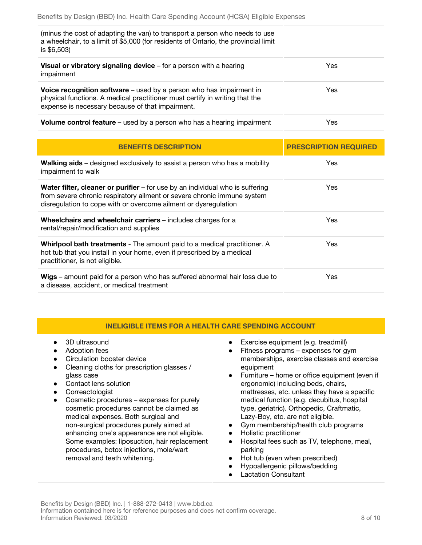| (minus the cost of adapting the van) to transport a person who needs to use<br>a wheelchair, to a limit of \$5,000 (for residents of Ontario, the provincial limit<br>is \$6,503)                      |      |
|--------------------------------------------------------------------------------------------------------------------------------------------------------------------------------------------------------|------|
| <b>Visual or vibratory signaling device</b> $-$ for a person with a hearing<br>impairment                                                                                                              | Yes  |
| Voice recognition software - used by a person who has impairment in<br>physical functions. A medical practitioner must certify in writing that the<br>expense is necessary because of that impairment. | Yes. |
| <b>Volume control feature</b> – used by a person who has a hearing impairment                                                                                                                          | Yes  |

| <b>BENEFITS DESCRIPTION</b>                                                                                                                                                                                                        | <b>PRESCRIPTION REQUIRED</b> |
|------------------------------------------------------------------------------------------------------------------------------------------------------------------------------------------------------------------------------------|------------------------------|
| <b>Walking aids</b> – designed exclusively to assist a person who has a mobility<br>impairment to walk                                                                                                                             | Yes.                         |
| <b>Water filter, cleaner or purifier</b> – for use by an individual who is suffering<br>from severe chronic respiratory ailment or severe chronic immune system<br>disregulation to cope with or overcome ailment or dysregulation | Yes.                         |
| Wheelchairs and wheelchair carriers - includes charges for a<br>rental/repair/modification and supplies                                                                                                                            | Yes.                         |
| <b>Whirlpool bath treatments</b> - The amount paid to a medical practitioner. A<br>hot tub that you install in your home, even if prescribed by a medical<br>practitioner, is not eligible.                                        | Yes.                         |
| Wigs – amount paid for a person who has suffered abnormal hair loss due to<br>a disease, accident, or medical treatment                                                                                                            | Yes                          |

## **INELIGIBLE ITEMS FOR A HEALTH CARE SPENDING ACCOUNT**

- 3D ultrasound
- Adoption fees
- Circulation booster device
- Cleaning cloths for prescription glasses / glass case
- Contact lens solution
- Correactologist
- Cosmetic procedures expenses for purely cosmetic procedures cannot be claimed as medical expenses. Both surgical and non-surgical procedures purely aimed at enhancing one's appearance are not eligible. Some examples: liposuction, hair replacement procedures, botox injections, mole/wart removal and teeth whitening.
- Exercise equipment (e.g. treadmill)
- Fitness programs expenses for gym memberships, exercise classes and exercise equipment
- Furniture home or office equipment (even if ergonomic) including beds, chairs, mattresses, etc. unless they have a specific medical function (e.g. decubitus, hospital type, geriatric). Orthopedic, Craftmatic, Lazy-Boy, etc. are not eligible.
- Gym membership/health club programs
- Holistic practitioner
- Hospital fees such as TV, telephone, meal, parking
- Hot tub (even when prescribed)
- Hypoallergenic pillows/bedding
- **Lactation Consultant**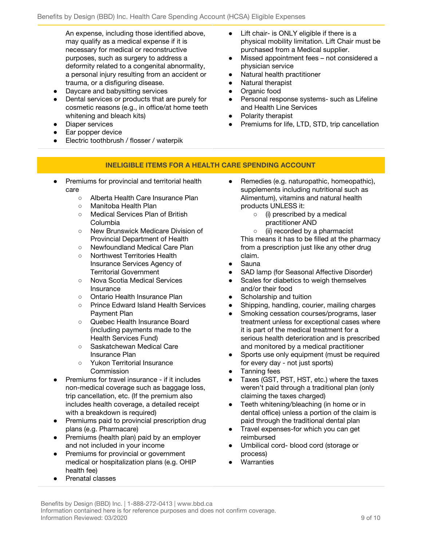An expense, including those identified above, may qualify as a medical expense if it is necessary for medical or reconstructive purposes, such as surgery to address a deformity related to a congenital abnormality, a personal injury resulting from an accident or trauma, or a disfiguring disease.

- Daycare and babysitting services
- Dental services or products that are purely for cosmetic reasons (e.g., in office/at home teeth whitening and bleach kits)
- Diaper services
- Ear popper device
- Electric toothbrush / flosser / waterpik
- Lift chair- is ONLY eligible if there is a physical mobility limitation. Lift Chair must be purchased from a Medical supplier.
- Missed appointment fees not considered a physician service
- Natural health practitioner
- Natural therapist
- Organic food
- Personal response systems- such as Lifeline and Health Line Services
- Polarity therapist
- Premiums for life, LTD, STD, trip cancellation

## **INELIGIBLE ITEMS FOR A HEALTH CARE SPENDING ACCOUNT**

- Premiums for provincial and territorial health care
	- Alberta Health Care Insurance Plan
	- Manitoba Health Plan
	- Medical Services Plan of British Columbia
	- New Brunswick Medicare Division of Provincial Department of Health
	- Newfoundland Medical Care Plan
	- Northwest Territories Health Insurance Services Agency of Territorial Government
	- Nova Scotia Medical Services Insurance
	- Ontario Health Insurance Plan
	- Prince Edward Island Health Services Payment Plan
	- Quebec Health Insurance Board (including payments made to the Health Services Fund)
	- Saskatchewan Medical Care Insurance Plan
	- Yukon Territorial Insurance Commission
- Premiums for travel insurance if it includes non-medical coverage such as baggage loss, trip cancellation, etc. (If the premium also includes health coverage, a detailed receipt with a breakdown is required)
- Premiums paid to provincial prescription drug plans (e.g. Pharmacare)
- Premiums (health plan) paid by an employer and not included in your income
- Premiums for provincial or government medical or hospitalization plans (e.g. OHIP health fee)
- Prenatal classes
- Remedies (e.g. naturopathic, homeopathic), supplements including nutritional such as Alimentum), vitamins and natural health products UNLESS it:
	- (i) prescribed by a medical practitioner AND

○ (ii) recorded by a pharmacist This means it has to be filled at the pharmacy from a prescription just like any other drug claim.

- Sauna
- SAD lamp (for Seasonal Affective Disorder)
- Scales for diabetics to weigh themselves and/or their food
- Scholarship and tuition
- Shipping, handling, courier, mailing charges
- Smoking cessation courses/programs, laser treatment unless for exceptional cases where it is part of the medical treatment for a serious health deterioration and is prescribed and monitored by a medical practitioner
- Sports use only equipment (must be required for every day - not just sports)
- Tanning fees
- Taxes (GST, PST, HST, etc.) where the taxes weren't paid through a traditional plan (only claiming the taxes charged)
- Teeth whitening/bleaching (in home or in dental office) unless a portion of the claim is paid through the traditional dental plan
- Travel expenses-for which you can get reimbursed
- Umbilical cord- blood cord (storage or process)
- Warranties